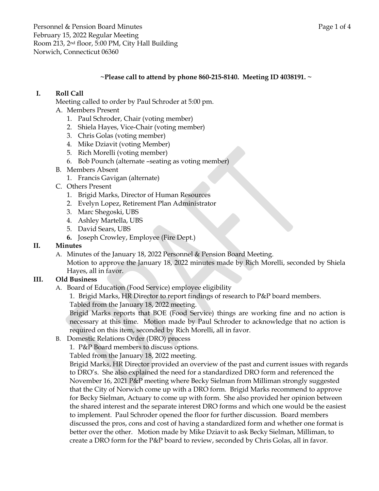Personnel & Pension Board Minutes **Page 1** of 4 February 15, 2022 Regular Meeting Room 213, 2nd floor, 5:00 PM, City Hall Building Norwich, Connecticut 06360

#### **~Please call to attend by phone 860-215-8140. Meeting ID 4038191. ~**

### **I. Roll Call**

Meeting called to order by Paul Schroder at 5:00 pm.

- A. Members Present
	- 1. Paul Schroder, Chair (voting member)
	- 2. Shiela Hayes, Vice-Chair (voting member)
	- 3. Chris Golas (voting member)
	- 4. Mike Dziavit (voting Member)
	- 5. Rich Morelli (voting member)
	- 6. Bob Pounch (alternate –seating as voting member)
- B. Members Absent
	- 1. Francis Gavigan (alternate)
- C. Others Present
	- 1. Brigid Marks, Director of Human Resources
	- 2. Evelyn Lopez, Retirement Plan Administrator
	- 3. Marc Shegoski, UBS
	- 4. Ashley Martella, UBS
	- 5. David Sears, UBS
	- **6.** Joseph Crowley, Employee (Fire Dept.)

### **II. Minutes**

A. Minutes of the January 18, 2022 Personnel & Pension Board Meeting. Motion to approve the January 18, 2022 minutes made by Rich Morelli, seconded by Shiela Hayes, all in favor.

### **III. Old Business**

- A. Board of Education (Food Service) employee eligibility
	- 1. Brigid Marks, HR Director to report findings of research to P&P board members.

Tabled from the January 18, 2022 meeting.

Brigid Marks reports that BOE (Food Service) things are working fine and no action is necessary at this time. Motion made by Paul Schroder to acknowledge that no action is required on this item, seconded by Rich Morelli, all in favor.

B. Domestic Relations Order (DRO) process

1. P&P Board members to discuss options.

Tabled from the January 18, 2022 meeting.

Brigid Marks, HR Director provided an overview of the past and current issues with regards to DRO's. She also explained the need for a standardized DRO form and referenced the November 16, 2021 P&P meeting where Becky Sielman from Milliman strongly suggested that the City of Norwich come up with a DRO form. Brigid Marks recommend to approve for Becky Sielman, Actuary to come up with form. She also provided her opinion between the shared interest and the separate interest DRO forms and which one would be the easiest to implement. Paul Schroder opened the floor for further discussion. Board members discussed the pros, cons and cost of having a standardized form and whether one format is better over the other. Motion made by Mike Dziavit to ask Becky Sielman, Milliman, to create a DRO form for the P&P board to review, seconded by Chris Golas, all in favor.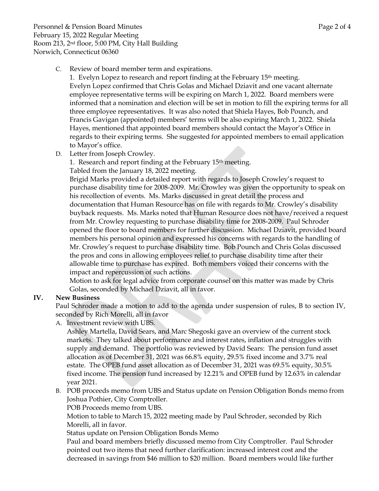C. Review of board member term and expirations.

1. Evelyn Lopez to research and report finding at the February 15th meeting. Evelyn Lopez confirmed that Chris Golas and Michael Dziavit and one vacant alternate employee representative terms will be expiring on March 1, 2022. Board members were informed that a nomination and election will be set in motion to fill the expiring terms for all three employee representatives. It was also noted that Shiela Hayes, Bob Pounch, and Francis Gavigan (appointed) members' terms will be also expiring March 1, 2022. Shiela Hayes, mentioned that appointed board members should contact the Mayor's Office in regards to their expiring terms. She suggested for appointed members to email application to Mayor's office.

D. Letter from Joseph Crowley.

1. Research and report finding at the February 15th meeting.

Tabled from the January 18, 2022 meeting.

Brigid Marks provided a detailed report with regards to Joseph Crowley's request to purchase disability time for 2008-2009. Mr. Crowley was given the opportunity to speak on his recollection of events. Ms. Marks discussed in great detail the process and documentation that Human Resource has on file with regards to Mr. Crowley's disability buyback requests. Ms. Marks noted that Human Resource does not have/received a request from Mr. Crowley requesting to purchase disability time for 2008-2009. Paul Schroder opened the floor to board members for further discussion. Michael Dziavit, provided board members his personal opinion and expressed his concerns with regards to the handling of Mr. Crowley's request to purchase disability time. Bob Pounch and Chris Golas discussed the pros and cons in allowing employees relief to purchase disability time after their allowable time to purchase has expired. Both members voiced their concerns with the impact and repercussion of such actions.

Motion to ask for legal advice from corporate counsel on this matter was made by Chris Golas, seconded by Michael Dziavit, all in favor.

# **IV. New Business**

Paul Schroder made a motion to add to the agenda under suspension of rules, B to section IV, seconded by Rich Morelli, all in favor

A. Investment review with UBS.

Ashley Martella, David Sears, and Marc Shegoski gave an overview of the current stock markets. They talked about performance and interest rates, inflation and struggles with supply and demand. The portfolio was reviewed by David Sears: The pension fund asset allocation as of December 31, 2021 was 66.8% equity, 29.5% fixed income and 3.7% real estate. The OPEB fund asset allocation as of December 31, 2021 was 69.5% equity, 30.5% fixed income. The pension fund increased by 12.21% and OPEB fund by 12.63% in calendar year 2021.

B. POB proceeds memo from UBS and Status update on Pension Obligation Bonds memo from Joshua Pothier, City Comptroller.

POB Proceeds memo from UBS.

Motion to table to March 15, 2022 meeting made by Paul Schroder, seconded by Rich Morelli, all in favor.

Status update on Pension Obligation Bonds Memo

Paul and board members briefly discussed memo from City Comptroller. Paul Schroder pointed out two items that need further clarification: increased interest cost and the decreased in savings from \$46 million to \$20 million. Board members would like further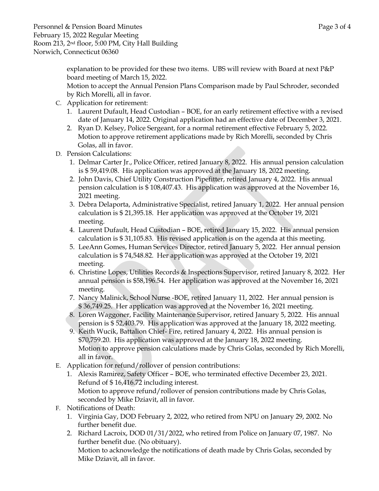Personnel & Pension Board Minutes **Page 3** of 4 February 15, 2022 Regular Meeting Room 213, 2nd floor, 5:00 PM, City Hall Building Norwich, Connecticut 06360

> explanation to be provided for these two items. UBS will review with Board at next P&P board meeting of March 15, 2022.

Motion to accept the Annual Pension Plans Comparison made by Paul Schroder, seconded by Rich Morelli, all in favor.

- C. Application for retirement:
	- 1. Laurent Dufault, Head Custodian BOE, for an early retirement effective with a revised date of January 14, 2022. Original application had an effective date of December 3, 2021.
	- 2. Ryan D. Kelsey, Police Sergeant, for a normal retirement effective February 5, 2022. Motion to approve retirement applications made by Rich Morelli, seconded by Chris Golas, all in favor.
- D. Pension Calculations:
	- 1. Delmar Carter Jr., Police Officer, retired January 8, 2022. His annual pension calculation is \$ 59,419.08. His application was approved at the January 18, 2022 meeting.
	- 2. John Davis, Chief Utility Construction Pipefitter, retired January 4, 2022. His annual pension calculation is \$ 108,407.43. His application was approved at the November 16, 2021 meeting.
	- 3. Debra Delaporta, Administrative Specialist, retired January 1, 2022. Her annual pension calculation is \$ 21,395.18. Her application was approved at the October 19, 2021 meeting.
	- 4. Laurent Dufault, Head Custodian BOE, retired January 15, 2022. His annual pension calculation is \$ 31,105.83. His revised application is on the agenda at this meeting.
	- 5. LeeAnn Gomes, Human Services Director, retired January 5, 2022. Her annual pension calculation is \$ 74,548.82. Her application was approved at the October 19, 2021 meeting.
	- 6. Christine Lopes, Utilities Records & Inspections Supervisor, retired January 8, 2022. Her annual pension is \$58,196.54. Her application was approved at the November 16, 2021 meeting.
	- 7. Nancy Malinick, School Nurse -BOE, retired January 11, 2022. Her annual pension is \$ 36,749.25. Her application was approved at the November 16, 2021 meeting.
	- 8. Loren Waggoner, Facility Maintenance Supervisor, retired January 5, 2022. His annual pension is \$ 52,403.79. His application was approved at the January 18, 2022 meeting.
	- 9. Keith Wucik, Battalion Chief- Fire, retired January 4, 2022. His annual pension is \$70,759.20. His application was approved at the January 18, 2022 meeting. Motion to approve pension calculations made by Chris Golas, seconded by Rich Morelli, all in favor.
- E. Application for refund/rollover of pension contributions:
	- 1. Alexis Ramirez, Safety Officer BOE, who terminated effective December 23, 2021. Refund of \$ 16,416.72 including interest. Motion to approve refund/rollover of pension contributions made by Chris Golas, seconded by Mike Dziavit, all in favor.
- F. Notifications of Death:
	- 1. Virginia Gay, DOD February 2, 2022, who retired from NPU on January 29, 2002. No further benefit due.
	- 2. Richard Lacroix, DOD 01/31/2022, who retired from Police on January 07, 1987. No further benefit due. (No obituary).

Motion to acknowledge the notifications of death made by Chris Golas, seconded by Mike Dziavit, all in favor.